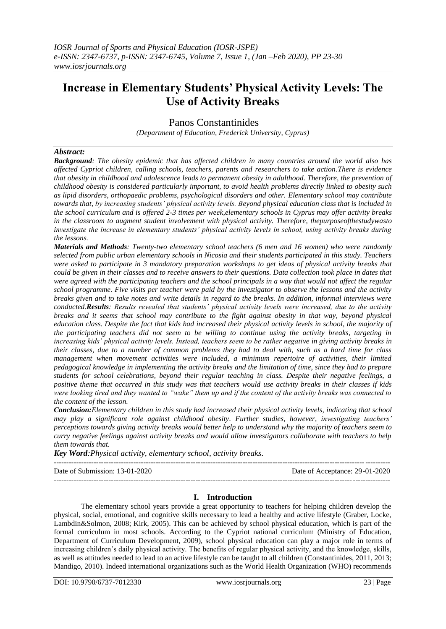# **Increase in Elementary Students' Physical Activity Levels: The Use of Activity Breaks**

Panos Constantinides

*(Department of Education, Frederick University, Cyprus)*

## *Abstract:*

*Background: The obesity epidemic that has affected children in many countries around the world also has affected Cypriot children, calling schools, teachers, parents and researchers to take action.There is evidence that obesity in childhood and adolescence leads to permanent obesity in adulthood. Therefore, the prevention of childhood obesity is considered particularly important, to avoid health problems directly linked to obesity such as lipid disorders, orthopaedic problems, psychological disorders and other. Elementary school may contribute towards that, by increasing students' physical activity levels. Beyond physical education class that is included in the school curriculum and is offered 2-3 times per week,elementary schools in Cyprus may offer activity breaks in the classroom to augment student involvement with physical activity. Therefore, thepurposeofthestudywasto investigate the increase in elementary students' physical activity levels in school, using activity breaks during the lessons.* 

*Materials and Methods: Twenty-two elementary school teachers (6 men and 16 women) who were randomly selected from public urban elementary schools in Nicosia and their students participated in this study. Teachers were asked to participate in 3 mandatory preparation workshops to get ideas of physical activity breaks that could be given in their classes and to receive answers to their questions. Data collection took place in dates that were agreed with the participating teachers and the school principals in a way that would not affect the regular school programme. Five visits per teacher were paid by the investigator to observe the lessons and the activity breaks given and to take notes and write details in regard to the breaks. In addition, informal interviews were conducted.Results: Results revealed that students' physical activity levels were increased, due to the activity breaks and it seems that school may contribute to the fight against obesity in that way, beyond physical education class. Despite the fact that kids had increased their physical activity levels in school, the majority of the participating teachers did not seem to be willing to continue using the activity breaks, targeting in increasing kids' physical activity levels. Instead, teachers seem to be rather negative in giving activity breaks in their classes, due to a number of common problems they had to deal with, such as a hard time for class management when movement activities were included, a minimum repertoire of activities, their limited pedagogical knowledge in implementing the activity breaks and the limitation of time, since they had to prepare students for school celebrations, beyond their regular teaching in class. Despite their negative feelings, a positive theme that occurred in this study was that teachers would use activity breaks in their classes if kids were looking tired and they wanted to "wake" them up and if the content of the activity breaks was connected to the content of the lesson.*

*Conclusion:Elementary children in this study had increased their physical activity levels, indicating that school may play a significant role against childhood obesity. Further studies, however, investigating teachers' perceptions towards giving activity breaks would better help to understand why the majority of teachers seem to curry negative feelings against activity breaks and would allow investigators collaborate with teachers to help them towards that.*

*Key Word:Physical activity, elementary school, activity breaks.*

--------------------------------------------------------------------------------------------------------------------------------------- Date of Submission: 13-01-2020 Date of Acceptance: 29-01-2020 ---------------------------------------------------------------------------------------------------------------------------------------

# **I. Introduction**

The elementary school years provide a great opportunity to teachers for helping children develop the physical, social, emotional, and cognitive skills necessary to lead a healthy and active lifestyle (Graber, Locke, Lambdin&Solmon, 2008; Kirk, 2005). This can be achieved by school physical education, which is part of the formal curriculum in most schools. According to the Cypriot national curriculum (Ministry of Education, Department of Curriculum Development, 2009), school physical education can play a major role in terms of increasing children"s daily physical activity. The benefits of regular physical activity, and the knowledge, skills, as well as attitudes needed to lead to an active lifestyle can be taught to all children (Constantinides, 2011, 2013; Mandigo, 2010). Indeed international organizations such as the World Health Organization (WHO) recommends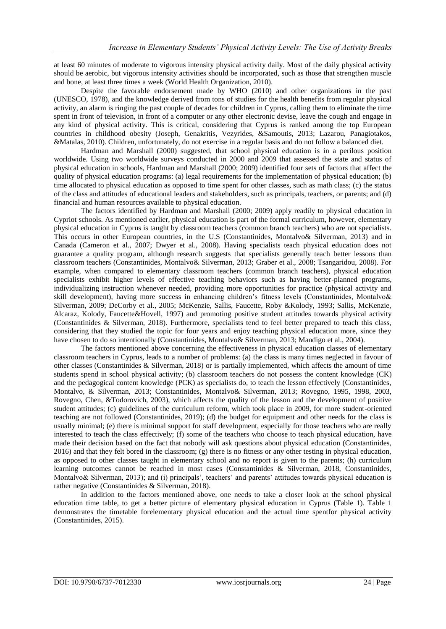at least 60 minutes of moderate to vigorous intensity physical activity daily. Most of the daily physical activity should be aerobic, but vigorous intensity activities should be incorporated, such as those that strengthen muscle and bone, at least three times a week (World Health Organization, 2010).

Despite the favorable endorsement made by WHO (2010) and other organizations in the past (UNESCO, 1978), and the knowledge derived from tons of studies for the health benefits from regular physical activity, an alarm is ringing the past couple of decades for children in Cyprus, calling them to eliminate the time spent in front of television, in front of a computer or any other electronic devise, leave the cough and engage in any kind of physical activity. This is critical, considering that Cyprus is ranked among the top European countries in childhood obesity (Joseph, Genakritis, Vezyrides, &Samoutis, 2013; Lazarou, Panagiotakos, &Matalas, 2010). Children, unfortunately, do not exercise in a regular basis and do not follow a balanced diet.

Hardman and Marshall (2000) suggested, that school physical education is in a perilous position worldwide. Using two worldwide surveys conducted in 2000 and 2009 that assessed the state and status of physical education in schools, Hardman and Marshall (2000; 2009) identified four sets of factors that affect the quality of physical education programs: (a) legal requirements for the implementation of physical education; (b) time allocated to physical education as opposed to time spent for other classes, such as math class; (c) the status of the class and attitudes of educational leaders and stakeholders, such as principals, teachers, or parents; and (d) financial and human resources available to physical education.

The factors identified by Hardman and Marshall (2000; 2009) apply readily to physical education in Cypriot schools. As mentioned earlier, physical education is part of the formal curriculum, however, elementary physical education in Cyprus is taught by classroom teachers (common branch teachers) who are not specialists. This occurs in other European countries, in the U.S (Constantinides, Montalvo& Silverman, 2013) and in Canada (Cameron et al., 2007; Dwyer et al., 2008). Having specialists teach physical education does not guarantee a quality program, although research suggests that specialists generally teach better lessons than classroom teachers (Constantinides, Montalvo& Silverman, 2013; Graber et al., 2008; Tsangaridou, 2008). For example, when compared to elementary classroom teachers (common branch teachers), physical education specialists exhibit higher levels of effective teaching behaviors such as having better-planned programs, individualizing instruction whenever needed, providing more opportunities for practice (physical activity and skill development), having more success in enhancing children"s fitness levels (Constantinides, Montalvo& Silverman, 2009; DeCorby et al., 2005; McKenzie, Sallis, Faucette, Roby &Kolody, 1993; Sallis, McKenzie, Alcaraz, Kolody, Faucette&Hovell, 1997) and promoting positive student attitudes towards physical activity (Constantinides & Silverman, 2018). Furthermore, specialists tend to feel better prepared to teach this class, considering that they studied the topic for four years and enjoy teaching physical education more, since they have chosen to do so intentionally (Constantinides, Montalvo& Silverman, 2013; Mandigo et al., 2004).

The factors mentioned above concerning the effectiveness in physical education classes of elementary classroom teachers in Cyprus, leads to a number of problems: (a) the class is many times neglected in favour of other classes (Constantinides & Silverman, 2018) or is partially implemented, which affects the amount of time students spend in school physical activity; (b) classroom teachers do not possess the content knowledge (CK) and the pedagogical content knowledge (PCK) as specialists do, to teach the lesson effectively (Constantinides, Montalvo, & Silverman, 2013; Constantinides, Montalvo& Silverman, 2013; Rovegno, 1995, 1998, 2003, Rovegno, Chen, &Todorovich, 2003), which affects the quality of the lesson and the development of positive student attitudes; (c) guidelines of the curriculum reform, which took place in 2009, for more student-oriented teaching are not followed (Constantinides, 2019); (d) the budget for equipment and other needs for the class is usually minimal; (e) there is minimal support for staff development, especially for those teachers who are really interested to teach the class effectively; (f) some of the teachers who choose to teach physical education, have made their decision based on the fact that nobody will ask questions about physical education (Constantinides, 2016) and that they felt bored in the classroom; (g) there is no fitness or any other testing in physical education, as opposed to other classes taught in elementary school and no report is given to the parents; (h) curriculum learning outcomes cannot be reached in most cases (Constantinides & Silverman, 2018, Constantinides, Montalvo& Silverman, 2013); and (i) principals', teachers' and parents' attitudes towards physical education is rather negative (Constantinides & Silverman, 2018).

In addition to the factors mentioned above, one needs to take a closer look at the school physical education time table, to get a better picture of elementary physical education in Cyprus (Table 1). Table 1 demonstrates the timetable forelementary physical education and the actual time spentfor physical activity (Constantinides, 2015).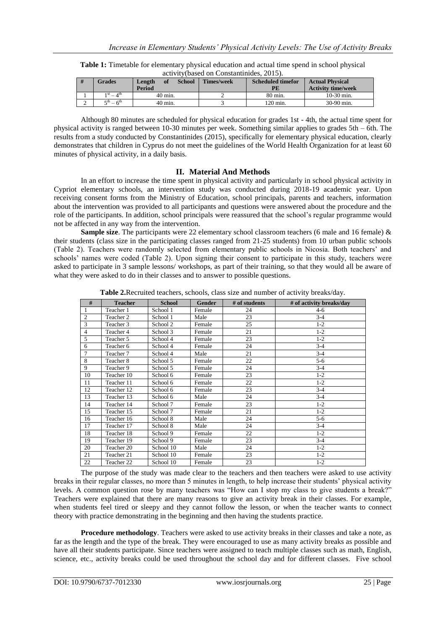**Table 1:** Timetable for elementary physical education and actual time spend in school physical activity(based on Constantinides, 2015).

| <b>Grades</b>  | <b>School</b><br>Length<br>0t<br><b>Period</b> | <b>Times/week</b> | <b>Scheduled timefor</b><br>PE | <b>Actual Physical</b><br><b>Activity time/week</b> |
|----------------|------------------------------------------------|-------------------|--------------------------------|-----------------------------------------------------|
| $-4th$<br>1 St | 40 min.                                        |                   | 80 min.                        | 10-30 min.                                          |
| $-6th$<br>– th | 40 min.                                        |                   | 120 min.                       | 30-90 min.                                          |

Although 80 minutes are scheduled for physical education for grades 1st - 4th, the actual time spent for physical activity is ranged between 10-30 minutes per week. Something similar applies to grades 5th – 6th. The results from a study conducted by Constantinides (2015), specifically for elementary physical education, clearly demonstrates that children in Cyprus do not meet the guidelines of the World Health Organization for at least 60 minutes of physical activity, in a daily basis.

# **II. Material And Methods**

In an effort to increase the time spent in physical activity and particularly in school physical activity in Cypriot elementary schools, an intervention study was conducted during 2018-19 academic year. Upon receiving consent forms from the Ministry of Education, school principals, parents and teachers, information about the intervention was provided to all participants and questions were answered about the procedure and the role of the participants. In addition, school principals were reassured that the school"s regular programme would not be affected in any way from the intervention.

**Sample size**. The participants were 22 elementary school classroom teachers (6 male and 16 female) & their students (class size in the participating classes ranged from 21-25 students) from 10 urban public schools (Table 2). Teachers were randomly selected from elementary public schools in Nicosia. Both teachers" and schools" names were coded (Table 2). Upon signing their consent to participate in this study, teachers were asked to participate in 3 sample lessons/ workshops, as part of their training, so that they would all be aware of what they were asked to do in their classes and to answer to possible questions.

**Table 2.**Recruited teachers, schools, class size and number of activity breaks/day.

| #              | <b>Teacher</b> | <b>School</b> | Gender | # of students | # of activity breaks/day |
|----------------|----------------|---------------|--------|---------------|--------------------------|
| 1              | Teacher 1      | School 1      | Female | 24            | $4 - 6$                  |
| $\overline{c}$ | Teacher 2      | School 1      | Male   | 23            | $3 - 4$                  |
| 3              | Teacher 3      | School 2      | Female | 25            | $1-2$                    |
| 4              | Teacher 4      | School 3      | Female | 21            | $1 - 2$                  |
| 5              | Teacher 5      | School 4      | Female | 23            | $1-2$                    |
| 6              | Teacher 6      | School 4      | Female | 24            | $3 - 4$                  |
| 7              | Teacher 7      | School 4      | Male   | 21            | $3 - 4$                  |
| 8              | Teacher 8      | School 5      | Female | 22            | $5-6$                    |
| 9              | Teacher 9      | School 5      | Female | 24            | $3 - 4$                  |
| 10             | Teacher 10     | School 6      | Female | 23            | $1-2$                    |
| 11             | Teacher 11     | School 6      | Female | 22            | $1 - 2$                  |
| 12             | Teacher 12     | School 6      | Female | 23            | $3 - 4$                  |
| 13             | Teacher 13     | School 6      | Male   | 24            | $3 - 4$                  |
| 14             | Teacher 14     | School 7      | Female | 23            | $1 - 2$                  |
| 15             | Teacher 15     | School 7      | Female | 21            | $1-2$                    |
| 16             | Teacher 16     | School 8      | Male   | 24            | $5 - 6$                  |
| 17             | Teacher 17     | School 8      | Male   | 24            | $3-4$                    |
| 18             | Teacher 18     | School 9      | Female | 22            | $1 - 2$                  |
| 19             | Teacher 19     | School 9      | Female | 23            | $3 - 4$                  |
| 20             | Teacher 20     | School 10     | Male   | 24            | $1 - 2$                  |
| 21             | Teacher 21     | School 10     | Female | 23            | $1-2$                    |
| 22             | Teacher 22     | School 10     | Female | 23            | $1 - 2$                  |

The purpose of the study was made clear to the teachers and then teachers were asked to use activity breaks in their regular classes, no more than 5 minutes in length, to help increase their students" physical activity levels. A common question rose by many teachers was "How can I stop my class to give students a break?" Teachers were explained that there are many reasons to give an activity break in their classes. For example, when students feel tired or sleepy and they cannot follow the lesson, or when the teacher wants to connect theory with practice demonstrating in the beginning and then having the students practice.

**Procedure methodology**. Teachers were asked to use activity breaks in their classes and take a note, as far as the length and the type of the break. They were encouraged to use as many activity breaks as possible and have all their students participate. Since teachers were assigned to teach multiple classes such as math, English, science, etc., activity breaks could be used throughout the school day and for different classes. Five school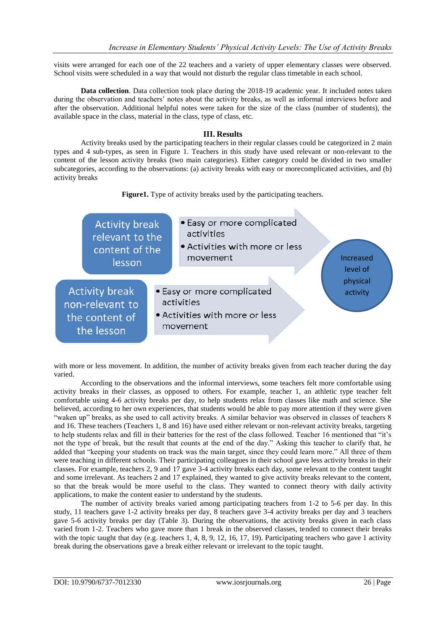visits were arranged for each one of the 22 teachers and a variety of upper elementary classes were observed. School visits were scheduled in a way that would not disturb the regular class timetable in each school.

**Data collection**. Data collection took place during the 2018-19 academic year. It included notes taken during the observation and teachers' notes about the activity breaks, as well as informal interviews before and after the observation. Additional helpful notes were taken for the size of the class (number of students), the available space in the class, material in the class, type of class, etc.

### **III. Results**

Activity breaks used by the participating teachers in their regular classes could be categorized in 2 main types and 4 sub-types, as seen in Figure 1. Teachers in this study have used relevant or non-relevant to the content of the lesson activity breaks (two main categories). Either category could be divided in two smaller subcategories, according to the observations: (a) activity breaks with easy or morecomplicated activities, and (b) activity breaks

### **Figure1.** Type of activity breaks used by the participating teachers.



with more or less movement. In addition, the number of activity breaks given from each teacher during the day varied.

According to the observations and the informal interviews, some teachers felt more comfortable using activity breaks in their classes, as opposed to others. For example, teacher 1, an athletic type teacher felt comfortable using 4-6 activity breaks per day, to help students relax from classes like math and science. She believed, according to her own experiences, that students would be able to pay more attention if they were given "waken up" breaks, as she used to call activity breaks. A similar behavior was observed in classes of teachers 8 and 16. These teachers (Teachers 1, 8 and 16) have used either relevant or non-relevant activity breaks, targeting to help students relax and fill in their batteries for the rest of the class followed. Teacher 16 mentioned that "it"s not the type of break, but the result that counts at the end of the day." Asking this teacher to clarify that, he added that "keeping your students on track was the main target, since they could learn more." All three of them were teaching in different schools. Their participating colleagues in their school gave less activity breaks in their classes. For example, teachers 2, 9 and 17 gave 3-4 activity breaks each day, some relevant to the content taught and some irrelevant. As teachers 2 and 17 explained, they wanted to give activity breaks relevant to the content, so that the break would be more useful to the class. They wanted to connect theory with daily activity applications, to make the content easier to understand by the students.

The number of activity breaks varied among participating teachers from 1-2 to 5-6 per day. In this study, 11 teachers gave 1-2 activity breaks per day, 8 teachers gave 3-4 activity breaks per day and 3 teachers gave 5-6 activity breaks per day (Table 3). During the observations, the activity breaks given in each class varied from 1-2. Teachers who gave more than 1 break in the observed classes, tended to connect their breaks with the topic taught that day (e.g. teachers 1, 4, 8, 9, 12, 16, 17, 19). Participating teachers who gave 1 activity break during the observations gave a break either relevant or irrelevant to the topic taught.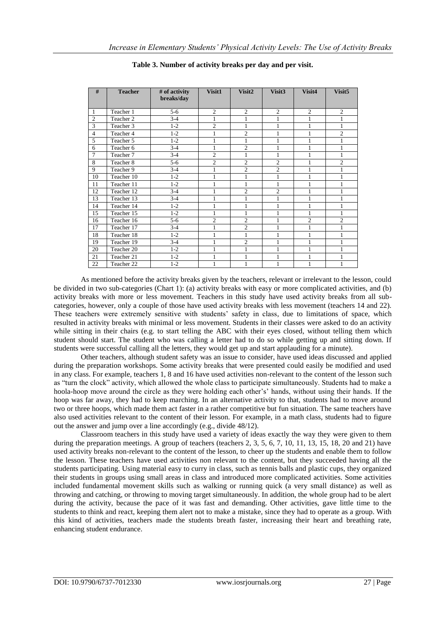| #              | <b>Teacher</b> | # of activity | Visit1         | Visit2         | Visit <sub>3</sub> | Visit4         | Visit <sub>5</sub> |
|----------------|----------------|---------------|----------------|----------------|--------------------|----------------|--------------------|
|                |                | breaks/day    |                |                |                    |                |                    |
| 1              | Teacher 1      | $5-6$         | $\overline{2}$ | $\mathfrak{2}$ | $\overline{2}$     | $\overline{c}$ | $\overline{c}$     |
| $\overline{2}$ | Teacher 2      | $3-4$         |                |                | 1                  |                | 1                  |
| 3              | Teacher 3      | $1 - 2$       | $\overline{c}$ |                | 1                  | 1              | 1                  |
| $\overline{4}$ | Teacher 4      | $1 - 2$       |                | $\overline{2}$ | 1                  |                | $\overline{2}$     |
| 5              | Teacher 5      | $1 - 2$       | 1              | $\mathbf{1}$   | 1                  | 1              | $\mathbf{1}$       |
| 6              | Teacher 6      | $3-4$         | 1              | $\overline{2}$ | 1                  | 1              | 1                  |
| $\overline{7}$ | Teacher 7      | $3-4$         | $\overline{c}$ | 1              | 1                  | 1              | 1                  |
| 8              | Teacher 8      | $5 - 6$       | $\overline{c}$ | $\overline{c}$ | $\overline{c}$     | 1              | $\overline{2}$     |
| 9              | Teacher 9      | $3-4$         | 1              | $\overline{c}$ | $\overline{2}$     | 1              | 1                  |
| 10             | Teacher 10     | $1-2$         | 1              | 1              | $\mathbf{1}$       | 1              | 1                  |
| 11             | Teacher 11     | $1 - 2$       | 1              | 1              | 1                  | 1              | 1                  |
| 12             | Teacher 12     | $3-4$         | 1              | $\overline{2}$ | $\overline{c}$     | 1              | 1                  |
| 13             | Teacher 13     | $3-4$         | $\mathbf{1}$   | 1              | $\mathbf{1}$       | 1              | 1                  |
| 14             | Teacher 14     | $1-2$         | 1              | 1              | $\mathbf{1}$       | 1              | 1                  |
| 15             | Teacher 15     | $1 - 2$       | 1              | 1              | $\mathbf{1}$       | 1              | 1                  |
| 16             | Teacher 16     | $5 - 6$       | $\overline{2}$ | $\overline{2}$ | 1                  | $\overline{2}$ | $\overline{2}$     |
| 17             | Teacher 17     | $3-4$         | $\mathbf{1}$   | $\overline{2}$ | $\mathbf{1}$       | 1              | 1                  |
| 18             | Teacher 18     | $1-2$         | $\mathbf{1}$   | 1              | 1                  | 1              | 1                  |
| 19             | Teacher 19     | $3-4$         | 1              | $\overline{2}$ | $\mathbf{1}$       | 1              | 1                  |
| 20             | Teacher 20     | $1-2$         | $\mathbf{1}$   | 1              | $\mathbf{1}$       | $\mathbf{1}$   | 1                  |
| 21             | Teacher 21     | $1 - 2$       | 1              | $\mathbf{1}$   | $\mathbf{1}$       | $\mathbf{1}$   | $\mathbf{1}$       |
| 22             | Teacher 22     | $1 - 2$       | 1              | 1              | $\mathbf{1}$       | 1              | 1                  |

## **Table 3. Number of activity breaks per day and per visit.**

As mentioned before the activity breaks given by the teachers, relevant or irrelevant to the lesson, could be divided in two sub-categories (Chart 1): (a) activity breaks with easy or more complicated activities, and (b) activity breaks with more or less movement. Teachers in this study have used activity breaks from all subcategories, however, only a couple of those have used activity breaks with less movement (teachers 14 and 22). These teachers were extremely sensitive with students" safety in class, due to limitations of space, which resulted in activity breaks with minimal or less movement. Students in their classes were asked to do an activity while sitting in their chairs (e.g. to start telling the ABC with their eyes closed, without telling them which student should start. The student who was calling a letter had to do so while getting up and sitting down. If students were successful calling all the letters, they would get up and start applauding for a minute).

Other teachers, although student safety was an issue to consider, have used ideas discussed and applied during the preparation workshops. Some activity breaks that were presented could easily be modified and used in any class. For example, teachers 1, 8 and 16 have used activities non-relevant to the content of the lesson such as "turn the clock" activity, which allowed the whole class to participate simultaneously. Students had to make a hoola-hoop move around the circle as they were holding each other's' hands, without using their hands. If the hoop was far away, they had to keep marching. In an alternative activity to that, students had to move around two or three hoops, which made them act faster in a rather competitive but fun situation. The same teachers have also used activities relevant to the content of their lesson. For example, in a math class, students had to figure out the answer and jump over a line accordingly (e.g., divide 48/12).

Classroom teachers in this study have used a variety of ideas exactly the way they were given to them during the preparation meetings. A group of teachers (teachers 2, 3, 5, 6, 7, 10, 11, 13, 15, 18, 20 and 21) have used activity breaks non-relevant to the content of the lesson, to cheer up the students and enable them to follow the lesson. These teachers have used activities non relevant to the content, but they succeeded having all the students participating. Using material easy to curry in class, such as tennis balls and plastic cups, they organized their students in groups using small areas in class and introduced more complicated activities. Some activities included fundamental movement skills such as walking or running quick (a very small distance) as well as throwing and catching, or throwing to moving target simultaneously. In addition, the whole group had to be alert during the activity, because the pace of it was fast and demanding. Other activities, gave little time to the students to think and react, keeping them alert not to make a mistake, since they had to operate as a group. With this kind of activities, teachers made the students breath faster, increasing their heart and breathing rate, enhancing student endurance.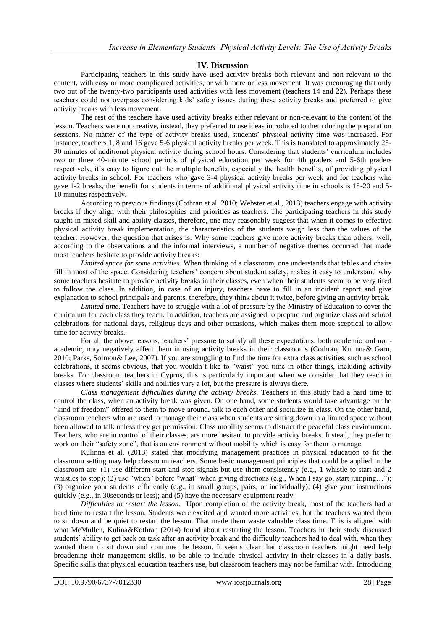# **IV. Discussion**

Participating teachers in this study have used activity breaks both relevant and non-relevant to the content, with easy or more complicated activities, or with more or less movement. It was encouraging that only two out of the twenty-two participants used activities with less movement (teachers 14 and 22). Perhaps these teachers could not overpass considering kids" safety issues during these activity breaks and preferred to give activity breaks with less movement.

The rest of the teachers have used activity breaks either relevant or non-relevant to the content of the lesson. Teachers were not creative, instead, they preferred to use ideas introduced to them during the preparation sessions. No matter of the type of activity breaks used, students' physical activity time was increased. For instance, teachers 1, 8 and 16 gave 5-6 physical activity breaks per week. This is translated to approximately 25- 30 minutes of additional physical activity during school hours. Considering that students" curriculum includes two or three 40-minute school periods of physical education per week for 4th graders and 5-6th graders respectively, it's easy to figure out the multiple benefits, especially the health benefits, of providing physical activity breaks in school. For teachers who gave 3-4 physical activity breaks per week and for teachers who gave 1-2 breaks, the benefit for students in terms of additional physical activity time in schools is 15-20 and 5- 10 minutes respectively.

According to previous findings (Cothran et al. 2010; Webster et al., 2013) teachers engage with activity breaks if they align with their philosophies and priorities as teachers. The participating teachers in this study taught in mixed skill and ability classes, therefore, one may reasonably suggest that when it comes to effective physical activity break implementation, the characteristics of the students weigh less than the values of the teacher. However, the question that arises is: Why some teachers give more activity breaks than others; well, according to the observations and the informal interviews, a number of negative themes occurred that made most teachers hesitate to provide activity breaks:

*Limited space for some activities*. When thinking of a classroom, one understands that tables and chairs fill in most of the space. Considering teachers" concern about student safety, makes it easy to understand why some teachers hesitate to provide activity breaks in their classes, even when their students seem to be very tired to follow the class. In addition, in case of an injury, teachers have to fill in an incident report and give explanation to school principals and parents, therefore, they think about it twice, before giving an activity break.

*Limited time*. Teachers have to struggle with a lot of pressure by the Ministry of Education to cover the curriculum for each class they teach. In addition, teachers are assigned to prepare and organize class and school celebrations for national days, religious days and other occasions, which makes them more sceptical to allow time for activity breaks.

For all the above reasons, teachers" pressure to satisfy all these expectations, both academic and nonacademic, may negatively affect them in using activity breaks in their classrooms (Cothran, Kulinna& Garn, 2010; Parks, Solmon& Lee, 2007). If you are struggling to find the time for extra class activities, such as school celebrations, it seems obvious, that you wouldn"t like to "waist" you time in other things, including activity breaks. For classroom teachers in Cyprus, this is particularly important when we consider that they teach in classes where students" skills and abilities vary a lot, but the pressure is always there.

*Class management difficulties during the activity breaks*. Teachers in this study had a hard time to control the class, when an activity break was given. On one hand, some students would take advantage on the "kind of freedom" offered to them to move around, talk to each other and socialize in class. On the other hand, classroom teachers who are used to manage their class when students are sitting down in a limited space without been allowed to talk unless they get permission. Class mobility seems to distract the peaceful class environment. Teachers, who are in control of their classes, are more hesitant to provide activity breaks. Instead, they prefer to work on their "safety zone", that is an environment without mobility which is easy for them to manage.

Kulinna et al. (2013) stated that modifying management practices in physical education to fit the classroom setting may help classroom teachers. Some basic management principles that could be applied in the classroom are: (1) use different start and stop signals but use them consistently (e.g., 1 whistle to start and 2 whistles to stop); (2) use "when" before "what" when giving directions (e.g., When I say go, start jumping..."); (3) organize your students efficiently (e.g., in small groups, pairs, or individually); (4) give your instructions quickly (e.g., in 30 seconds or less); and (5) have the necessary equipment ready.

*Difficulties to restart the lesson*. Upon completion of the activity break, most of the teachers had a hard time to restart the lesson. Students were excited and wanted more activities, but the teachers wanted them to sit down and be quiet to restart the lesson. That made them waste valuable class time. This is aligned with what McMullen, Kulina&Kothran (2014) found about restarting the lesson. Teachers in their study discussed students" ability to get back on task after an activity break and the difficulty teachers had to deal with, when they wanted them to sit down and continue the lesson. It seems clear that classroom teachers might need help broadening their management skills, to be able to include physical activity in their classes in a daily basis. Specific skills that physical education teachers use, but classroom teachers may not be familiar with. Introducing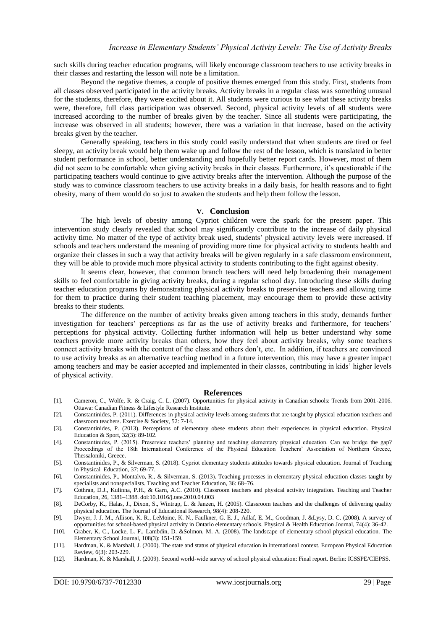such skills during teacher education programs, will likely encourage classroom teachers to use activity breaks in their classes and restarting the lesson will note be a limitation.

Beyond the negative themes, a couple of positive themes emerged from this study. First, students from all classes observed participated in the activity breaks. Activity breaks in a regular class was something unusual for the students, therefore, they were excited about it. All students were curious to see what these activity breaks were, therefore, full class participation was observed. Second, physical activity levels of all students were increased according to the number of breaks given by the teacher. Since all students were participating, the increase was observed in all students; however, there was a variation in that increase, based on the activity breaks given by the teacher.

Generally speaking, teachers in this study could easily understand that when students are tired or feel sleepy, an activity break would help them wake up and follow the rest of the lesson, which is translated in better student performance in school, better understanding and hopefully better report cards. However, most of them did not seem to be comfortable when giving activity breaks in their classes. Furthermore, it's questionable if the participating teachers would continue to give activity breaks after the intervention. Although the purpose of the study was to convince classroom teachers to use activity breaks in a daily basis, for health reasons and to fight obesity, many of them would do so just to awaken the students and help them follow the lesson.

#### **V. Conclusion**

The high levels of obesity among Cypriot children were the spark for the present paper. This intervention study clearly revealed that school may significantly contribute to the increase of daily physical activity time. No matter of the type of activity break used, students" physical activity levels were increased. If schools and teachers understand the meaning of providing more time for physical activity to students health and organize their classes in such a way that activity breaks will be given regularly in a safe classroom environment, they will be able to provide much more physical activity to students contributing to the fight against obesity.

It seems clear, however, that common branch teachers will need help broadening their management skills to feel comfortable in giving activity breaks, during a regular school day. Introducing these skills during teacher education programs by demonstrating physical activity breaks to preservise teachers and allowing time for them to practice during their student teaching placement, may encourage them to provide these activity breaks to their students.

The difference on the number of activity breaks given among teachers in this study, demands further investigation for teachers' perceptions as far as the use of activity breaks and furthermore, for teachers' perceptions for physical activity. Collecting further information will help us better understand why some teachers provide more activity breaks than others, how they feel about activity breaks, why some teachers connect activity breaks with the content of the class and others don"t, etc. In addition, if teachers are convinced to use activity breaks as an alternative teaching method in a future intervention, this may have a greater impact among teachers and may be easier accepted and implemented in their classes, contributing in kids" higher levels of physical activity.

#### **References**

- [1]. Cameron, C., Wolfe, R. & Craig, C. L. (2007). Opportunities for physical activity in Canadian schools: Trends from 2001-2006. Ottawa: Canadian Fitness & Lifestyle Research Institute.
- [2]. Constantinides, P. (2011). Differences in physical activity levels among students that are taught by physical education teachers and classroom teachers. Exercise & Society, 52: 7-14.
- [3]. Constantinides, P. (2013). Perceptions of elementary obese students about their experiences in physical education. Physical Education & Sport, 32(3): 89-102.
- [4]. Constantinides, P. (2015). Preservice teachers" planning and teaching elementary physical education. Can we bridge the gap? Proceedings of the 18th International Conference of the Physical Education Teachers" Association of Northern Greece, Thessaloniki, Greece.
- [5]. Constantinides, P., & Silverman, S. (2018). Cypriot elementary students attitudes towards physical education. Journal of Teaching in Physical Education, 37: 69-77.
- [6]. Constantinides, P., Montalvo, R., & Silverman, S. (2013). Teaching processes in elementary physical education classes taught by specialists and nonspecialists. Teaching and Teacher Education, 36: 68–76.
- [7]. Cothran, D.J., Kulinna, P.H., & Garn, A.C. (2010). Classroom teachers and physical activity integration. Teaching and Teacher Education, 26, 1381–1388. doi:10.1016/j.tate.2010.04.003
- [8]. DeCorby, K., Halas, J., Dixon, S., Wintrup, L. & Janzen, H. (2005). Classroom teachers and the challenges of delivering quality physical education. The Journal of Educational Research, 98(4): 208-220.
- [9]. Dwyer, J. J. M., Allison, K. R., LeMoine, K. N., Faulkner, G. E. J., Adlaf, E. M., Goodman, J. &Lysy, D. C. (2008). A survey of opportunities for school-based physical activity in Ontario elementary schools. Physical & Health Education Journal, 74(4): 36-42.
- [10]. Graber, K. C., Locke, L. F., Lambdin, D. &Solmon, M. A. (2008). The landscape of elementary school physical education. The Elementary School Journal, 108(3): 151-159.
- [11]. Hardman, K. & Marshall, J. (2000). The state and status of physical education in international context. European Physical Education Review, 6(3): 203-229.
- [12]. Hardman, K. & Marshall, J. (2009). Second world-wide survey of school physical education: Final report. Berlin: ICSSPE/CIEPSS.